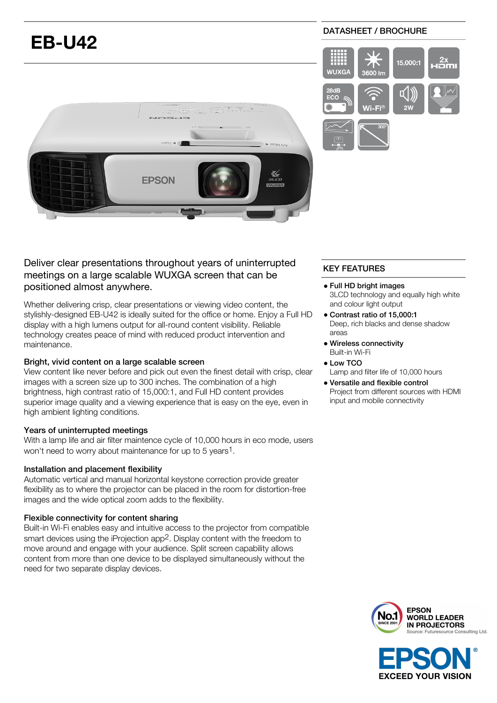# **EB-U42**

## DATASHEET / BROCHURE





## Deliver clear presentations throughout years of uninterrupted meetings on a large scalable WUXGA screen that can be positioned almost anywhere.

Whether delivering crisp, clear presentations or viewing video content, the stylishly-designed EB-U42 is ideally suited for the office or home. Enjoy a Full HD display with a high lumens output for all-round content visibility. Reliable technology creates peace of mind with reduced product intervention and maintenance.

## Bright, vivid content on a large scalable screen

View content like never before and pick out even the finest detail with crisp, clear images with a screen size up to 300 inches. The combination of a high brightness, high contrast ratio of 15,000:1, and Full HD content provides superior image quality and a viewing experience that is easy on the eye, even in high ambient lighting conditions.

## Years of uninterrupted meetings

With a lamp life and air filter maintence cycle of 10,000 hours in eco mode, users won't need to worry about maintenance for up to 5 years1.

## Installation and placement flexibility

Automatic vertical and manual horizontal keystone correction provide greater flexibility as to where the projector can be placed in the room for distortion-free images and the wide optical zoom adds to the flexibility.

## Flexible connectivity for content sharing

Built-in Wi-Fi enables easy and intuitive access to the projector from compatible smart devices using the iProjection app<sup>2</sup>. Display content with the freedom to move around and engage with your audience. Split screen capability allows content from more than one device to be displayed simultaneously without the need for two separate display devices.

## KEY FEATURES

- Full HD bright images 3LCD technology and equally high white and colour light output
- Contrast ratio of 15,000:1 Deep, rich blacks and dense shadow areas
- Wireless connectivity Built-in Wi-Fi
- Low TCO Lamp and filter life of 10,000 hours
- Versatile and flexible control Project from different sources with HDMI input and mobile connectivity



**EXCEED YOUR VISION**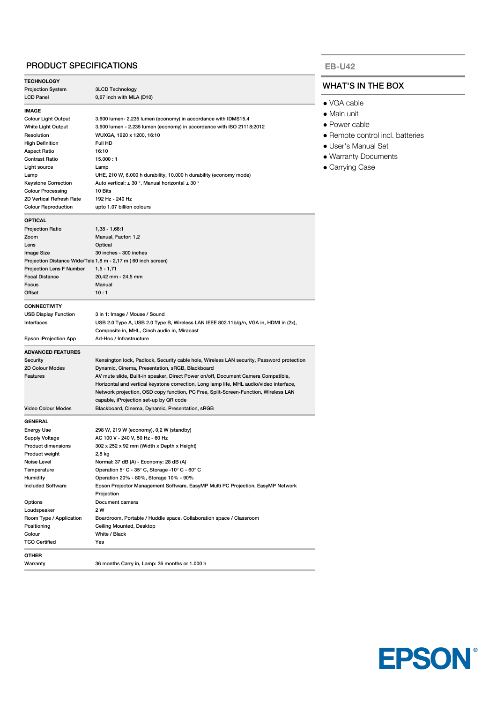## PRODUCT SPECIFICATIONS

| <b>TECHNOLOGY</b>               |                                                                                           |  |
|---------------------------------|-------------------------------------------------------------------------------------------|--|
| Projection System               | <b>3LCD Technology</b>                                                                    |  |
| <b>LCD Panel</b>                | 0,67 inch with MLA (D10)                                                                  |  |
| <b>IMAGE</b>                    |                                                                                           |  |
| Colour Light Output             | 3.600 lumen- 2.235 lumen (economy) in accordance with IDMS15.4                            |  |
| White Light Output              | 3.600 lumen - 2.235 lumen (economy) in accordance with ISO 21118:2012                     |  |
| Resolution                      | WUXGA, 1920 x 1200, 16:10                                                                 |  |
| <b>High Definition</b>          | Full HD                                                                                   |  |
| Aspect Ratio                    | 16:10                                                                                     |  |
| Contrast Ratio                  | 15.000:1                                                                                  |  |
| Light source                    | Lamp                                                                                      |  |
| Lamp                            | UHE, 210 W, 6.000 h durability, 10.000 h durability (economy mode)                        |  |
| <b>Keystone Correction</b>      | Auto vertical: $\pm$ 30 °, Manual horizontal $\pm$ 30 °                                   |  |
| <b>Colour Processing</b>        | 10 Bits                                                                                   |  |
| 2D Vertical Refresh Rate        | 192 Hz - 240 Hz                                                                           |  |
| <b>Colour Reproduction</b>      |                                                                                           |  |
|                                 | upto 1.07 billion colours                                                                 |  |
| <b>OPTICAL</b>                  |                                                                                           |  |
| <b>Projection Ratio</b>         | $1,38 - 1,68.1$                                                                           |  |
| Zoom                            | Manual, Factor: 1,2                                                                       |  |
| Lens                            | Optical                                                                                   |  |
| Image Size                      | 30 inches - 300 inches                                                                    |  |
|                                 | Projection Distance Wide/Tele 1,8 m - 2,17 m (60 inch screen)                             |  |
| <b>Projection Lens F Number</b> | $1, 5 - 1, 71$                                                                            |  |
| <b>Focal Distance</b>           | 20,42 mm - 24,5 mm                                                                        |  |
| Focus                           | Manual                                                                                    |  |
| Offset                          | 10:1                                                                                      |  |
| <b>CONNECTIVITY</b>             |                                                                                           |  |
| <b>USB Display Function</b>     | 3 in 1: Image / Mouse / Sound                                                             |  |
| Interfaces                      | USB 2.0 Type A, USB 2.0 Type B, Wireless LAN IEEE 802.11b/g/n, VGA in, HDMI in (2x),      |  |
|                                 | Composite in, MHL, Cinch audio in, Miracast                                               |  |
| Epson iProjection App           | Ad-Hoc / Infrastructure                                                                   |  |
|                                 |                                                                                           |  |
| <b>ADVANCED FEATURES</b>        |                                                                                           |  |
| Security                        | Kensington lock, Padlock, Security cable hole, Wireless LAN security, Password protection |  |
| 2D Colour Modes                 | Dynamic, Cinema, Presentation, sRGB, Blackboard                                           |  |
| Features                        | AV mute slide, Built-in speaker, Direct Power on/off, Document Camera Compatible,         |  |
|                                 | Horizontal and vertical keystone correction, Long lamp life, MHL audio/video interface,   |  |
|                                 | Network projection, OSD copy function, PC Free, Split-Screen-Function, Wireless LAN       |  |
|                                 | capable, iProjection set-up by QR code                                                    |  |
| <b>Video Colour Modes</b>       | Blackboard, Cinema, Dynamic, Presentation, sRGB                                           |  |
| GENERAL                         |                                                                                           |  |
| Energy Use                      | 298 W, 219 W (economy), 0,2 W (standby)                                                   |  |
| <b>Supply Voltage</b>           | AC 100 V - 240 V, 50 Hz - 60 Hz                                                           |  |
| Product dimensions              | 302 x 252 x 92 mm (Width x Depth x Height)                                                |  |
| Product weight                  | 2,8 kg                                                                                    |  |
| Noise Level                     | Normal: 37 dB (A) - Economy: 28 dB (A)                                                    |  |
| Temperature                     | Operation 5° C - 35° C, Storage -10° C - 60° C                                            |  |
| Humidity                        | Operation 20% - 80%, Storage 10% - 90%                                                    |  |
| <b>Included Software</b>        | Epson Projector Management Software, EasyMP Multi PC Projection, EasyMP Network           |  |
|                                 | Projection                                                                                |  |
| Options                         | Document camera                                                                           |  |
| Loudspeaker                     | 2 W                                                                                       |  |
| Room Type / Application         | Boardroom, Portable / Huddle space, Collaboration space / Classroom                       |  |
| Positioning                     | Ceiling Mounted, Desktop                                                                  |  |
| Colour                          | White / Black                                                                             |  |
| <b>TCO Certified</b>            | Yes                                                                                       |  |
|                                 |                                                                                           |  |
| OTHER                           |                                                                                           |  |

Warranty 36 months Carry in, Lamp: 36 months or 1.000 h

### **EB-U42**

### WHAT'S IN THE BOX

- VGA cable
- Main unit
- Power cable
- Remote control incl. batteries
- User's Manual Set
- Warranty Documents
- Carrying Case